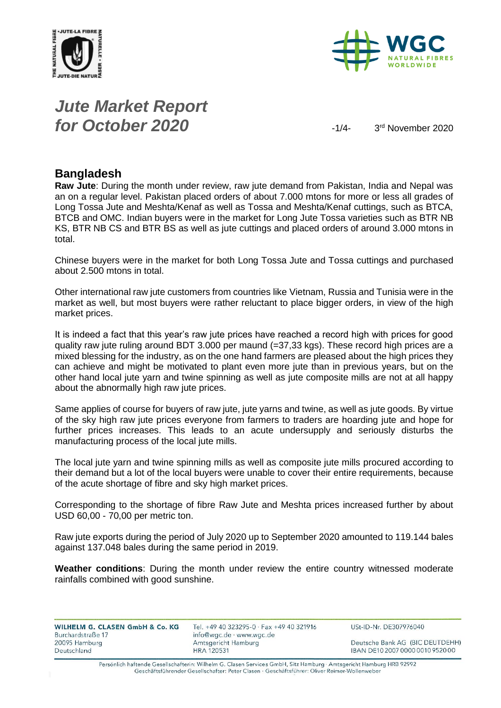



# *Jute Market Report for October 2020*  $\frac{1}{4}$

3rd November 2020

#### **Bangladesh**

**Raw Jute**: During the month under review, raw jute demand from Pakistan, India and Nepal was an on a regular level. Pakistan placed orders of about 7.000 mtons for more or less all grades of Long Tossa Jute and Meshta/Kenaf as well as Tossa and Meshta/Kenaf cuttings, such as BTCA, BTCB and OMC. Indian buyers were in the market for Long Jute Tossa varieties such as BTR NB KS, BTR NB CS and BTR BS as well as jute cuttings and placed orders of around 3.000 mtons in total.

Chinese buyers were in the market for both Long Tossa Jute and Tossa cuttings and purchased about 2.500 mtons in total.

Other international raw jute customers from countries like Vietnam, Russia and Tunisia were in the market as well, but most buyers were rather reluctant to place bigger orders, in view of the high market prices.

It is indeed a fact that this year's raw jute prices have reached a record high with prices for good quality raw jute ruling around BDT 3.000 per maund (=37,33 kgs). These record high prices are a mixed blessing for the industry, as on the one hand farmers are pleased about the high prices they can achieve and might be motivated to plant even more jute than in previous years, but on the other hand local jute yarn and twine spinning as well as jute composite mills are not at all happy about the abnormally high raw jute prices.

Same applies of course for buyers of raw jute, jute yarns and twine, as well as jute goods. By virtue of the sky high raw jute prices everyone from farmers to traders are hoarding jute and hope for further prices increases. This leads to an acute undersupply and seriously disturbs the manufacturing process of the local jute mills.

The local jute yarn and twine spinning mills as well as composite jute mills procured according to their demand but a lot of the local buyers were unable to cover their entire requirements, because of the acute shortage of fibre and sky high market prices.

Corresponding to the shortage of fibre Raw Jute and Meshta prices increased further by about USD 60,00 - 70,00 per metric ton.

Raw jute exports during the period of July 2020 up to September 2020 amounted to 119.144 bales against 137.048 bales during the same period in 2019.

**Weather conditions**: During the month under review the entire country witnessed moderate rainfalls combined with good sunshine.

| WILHELM G. CLASEN GmbH & Co. KG | Tel. +49 40 323295-0 · Fax +49 40 321916 | USt-ID-Nr. DE307976040           |
|---------------------------------|------------------------------------------|----------------------------------|
| Burchardstraße 17               | info@wgc.de · www.wgc.de                 |                                  |
| 20095 Hamburg                   | Amtsgericht Hamburg                      | Deutsche Bank AG (BIC DEUTDEHH)  |
| Deutschland                     | <b>HRA 120531</b>                        | IBAN DE10 2007 0000 0010 9520 00 |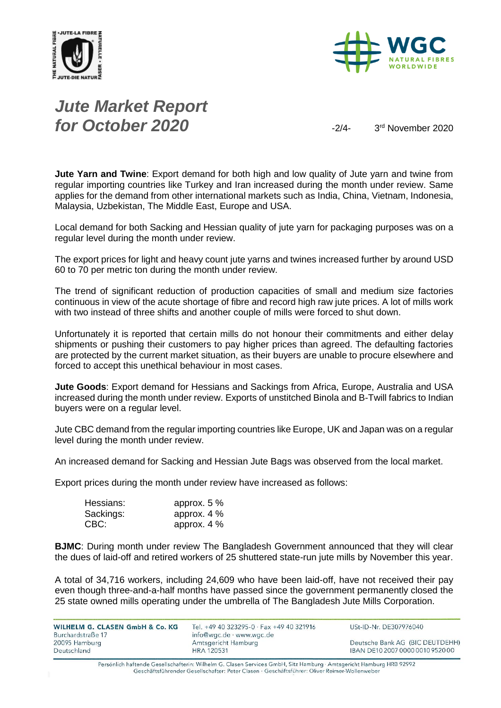



# *Jute Market Report for October 2020*  $\frac{3}{4}$

3rd November 2020

**Jute Yarn and Twine**: Export demand for both high and low quality of Jute yarn and twine from regular importing countries like Turkey and Iran increased during the month under review. Same applies for the demand from other international markets such as India, China, Vietnam, Indonesia, Malaysia, Uzbekistan, The Middle East, Europe and USA.

Local demand for both Sacking and Hessian quality of jute yarn for packaging purposes was on a regular level during the month under review.

The export prices for light and heavy count jute yarns and twines increased further by around USD 60 to 70 per metric ton during the month under review.

The trend of significant reduction of production capacities of small and medium size factories continuous in view of the acute shortage of fibre and record high raw jute prices. A lot of mills work with two instead of three shifts and another couple of mills were forced to shut down.

Unfortunately it is reported that certain mills do not honour their commitments and either delay shipments or pushing their customers to pay higher prices than agreed. The defaulting factories are protected by the current market situation, as their buyers are unable to procure elsewhere and forced to accept this unethical behaviour in most cases.

**Jute Goods**: Export demand for Hessians and Sackings from Africa, Europe, Australia and USA increased during the month under review. Exports of unstitched Binola and B-Twill fabrics to Indian buyers were on a regular level.

Jute CBC demand from the regular importing countries like Europe, UK and Japan was on a regular level during the month under review.

An increased demand for Sacking and Hessian Jute Bags was observed from the local market.

Export prices during the month under review have increased as follows:

| Hessians: | approx. $5%$  |
|-----------|---------------|
| Sackings: | approx. $4\%$ |
| CBC:      | approx. $4\%$ |

**BJMC**: During month under review The Bangladesh Government announced that they will clear the dues of laid-off and retired workers of 25 shuttered state-run jute mills by November this year.

A total of 34,716 workers, including 24,609 who have been laid-off, have not received their pay even though three-and-a-half months have passed since the government permanently closed the 25 state owned mills operating under the umbrella of The Bangladesh Jute Mills Corporation.

| <b>WILHELM G. CLASEN GmbH &amp; Co. KG.</b><br>Burchardstraße 17 | Tel. +49 40 323295-0 · Fax +49 40 321916<br>info@wgc.de · www.wgc.de | USt-ID-Nr. DE307976040           |
|------------------------------------------------------------------|----------------------------------------------------------------------|----------------------------------|
| 20095 Hamburg                                                    | Amtsgericht Hamburg                                                  | Deutsche Bank AG (BIC DEUTDEHH)  |
| Deutschland                                                      | HRA 120531                                                           | IBAN DE10 2007 0000 0010 9520 00 |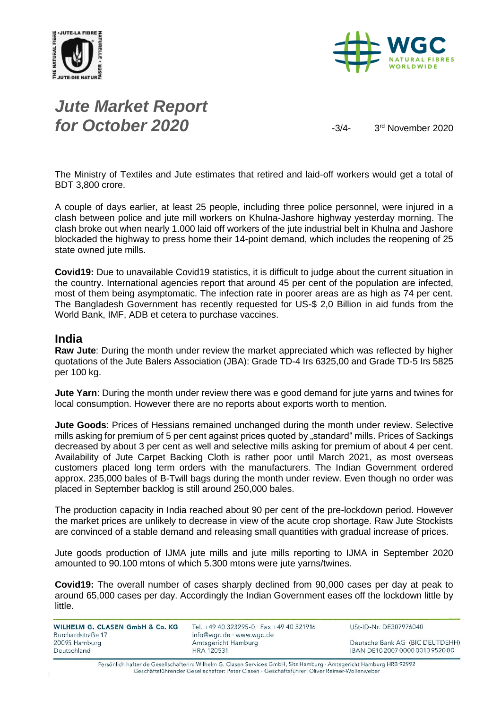



# *Jute Market Report for October 2020*  $\frac{3}{4}$

3rd November 2020

The Ministry of Textiles and Jute estimates that retired and laid-off workers would get a total of BDT 3,800 crore.

A couple of days earlier, at least 25 people, including three police personnel, were injured in a clash between police and jute mill workers on Khulna-Jashore highway yesterday morning. The clash broke out when nearly 1.000 laid off workers of the jute industrial belt in Khulna and Jashore blockaded the highway to press home their 14-point demand, which includes the reopening of 25 state owned jute mills.

**Covid19:** Due to unavailable Covid19 statistics, it is difficult to judge about the current situation in the country. International agencies report that around 45 per cent of the population are infected, most of them being asymptomatic. The infection rate in poorer areas are as high as 74 per cent. The Bangladesh Government has recently requested for US-\$ 2,0 Billion in aid funds from the World Bank, IMF, ADB et cetera to purchase vaccines.

#### **India**

**Raw Jute**: During the month under review the market appreciated which was reflected by higher quotations of the Jute Balers Association (JBA): Grade TD-4 Irs 6325,00 and Grade TD-5 Irs 5825 per 100 kg.

**Jute Yarn**: During the month under review there was e good demand for jute yarns and twines for local consumption. However there are no reports about exports worth to mention.

**Jute Goods**: Prices of Hessians remained unchanged during the month under review. Selective mills asking for premium of 5 per cent against prices quoted by "standard" mills. Prices of Sackings decreased by about 3 per cent as well and selective mills asking for premium of about 4 per cent. Availability of Jute Carpet Backing Cloth is rather poor until March 2021, as most overseas customers placed long term orders with the manufacturers. The Indian Government ordered approx. 235,000 bales of B-Twill bags during the month under review. Even though no order was placed in September backlog is still around 250,000 bales.

The production capacity in India reached about 90 per cent of the pre-lockdown period. However the market prices are unlikely to decrease in view of the acute crop shortage. Raw Jute Stockists are convinced of a stable demand and releasing small quantities with gradual increase of prices.

Jute goods production of IJMA jute mills and jute mills reporting to IJMA in September 2020 amounted to 90.100 mtons of which 5.300 mtons were jute yarns/twines.

**Covid19:** The overall number of cases sharply declined from 90,000 cases per day at peak to around 65,000 cases per day. Accordingly the Indian Government eases off the lockdown little by little.

| WILHELM G. CLASEN GmbH & Co. KG    | Tel. +49 40 323295-0 · Fax +49 40 321916        | USt-ID-Nr. DE307976040           |
|------------------------------------|-------------------------------------------------|----------------------------------|
| Burchardstraße 17<br>20095 Hamburg | info@wgc.de · www.wgc.de<br>Amtsgericht Hamburg | Deutsche Bank AG (BIC DEUTDEHH)  |
| Deutschland                        | <b>HRA 120531</b>                               | IBAN DE10 2007 0000 0010 9520 00 |